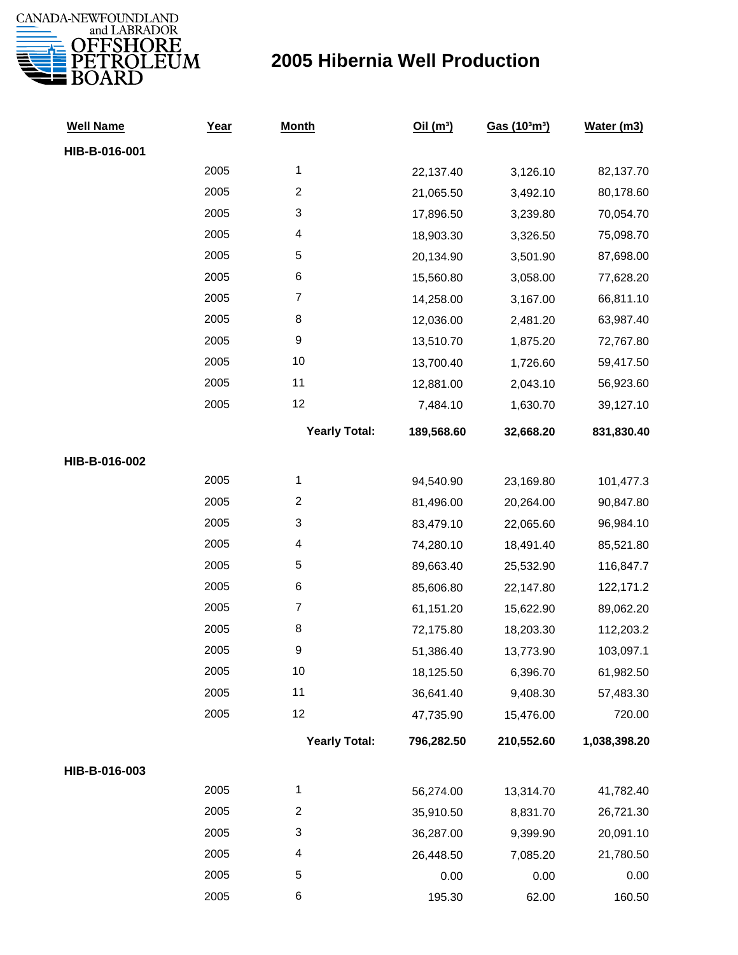

| <b>Well Name</b> | Year | <b>Month</b>            | Oil(m <sup>3</sup> ) | Gas (103m3) | Water (m3)   |
|------------------|------|-------------------------|----------------------|-------------|--------------|
| HIB-B-016-001    |      |                         |                      |             |              |
|                  | 2005 | 1                       | 22,137.40            | 3,126.10    | 82,137.70    |
|                  | 2005 | $\boldsymbol{2}$        | 21,065.50            | 3,492.10    | 80,178.60    |
|                  | 2005 | 3                       | 17,896.50            | 3,239.80    | 70,054.70    |
|                  | 2005 | 4                       | 18,903.30            | 3,326.50    | 75,098.70    |
|                  | 2005 | 5                       | 20,134.90            | 3,501.90    | 87,698.00    |
|                  | 2005 | 6                       | 15,560.80            | 3,058.00    | 77,628.20    |
|                  | 2005 | $\boldsymbol{7}$        | 14,258.00            | 3,167.00    | 66,811.10    |
|                  | 2005 | 8                       | 12,036.00            | 2,481.20    | 63,987.40    |
|                  | 2005 | $\boldsymbol{9}$        | 13,510.70            | 1,875.20    | 72,767.80    |
|                  | 2005 | 10                      | 13,700.40            | 1,726.60    | 59,417.50    |
|                  | 2005 | 11                      | 12,881.00            | 2,043.10    | 56,923.60    |
|                  | 2005 | 12                      | 7,484.10             | 1,630.70    | 39,127.10    |
|                  |      | <b>Yearly Total:</b>    | 189,568.60           | 32,668.20   | 831,830.40   |
| HIB-B-016-002    |      |                         |                      |             |              |
|                  | 2005 | 1                       | 94,540.90            | 23,169.80   | 101,477.3    |
|                  | 2005 | $\overline{\mathbf{c}}$ | 81,496.00            | 20,264.00   | 90,847.80    |
|                  | 2005 | 3                       | 83,479.10            | 22,065.60   | 96,984.10    |
|                  | 2005 | 4                       | 74,280.10            | 18,491.40   | 85,521.80    |
|                  | 2005 | 5                       | 89,663.40            | 25,532.90   | 116,847.7    |
|                  | 2005 | 6                       | 85,606.80            | 22,147.80   | 122,171.2    |
|                  | 2005 | $\boldsymbol{7}$        | 61,151.20            | 15,622.90   | 89,062.20    |
|                  | 2005 | 8                       | 72,175.80            | 18,203.30   | 112,203.2    |
|                  | 2005 | 9                       | 51,386.40            | 13,773.90   | 103,097.1    |
|                  | 2005 | 10                      | 18,125.50            | 6,396.70    | 61,982.50    |
|                  | 2005 | 11                      | 36,641.40            | 9,408.30    | 57,483.30    |
|                  | 2005 | 12                      | 47,735.90            | 15,476.00   | 720.00       |
|                  |      | <b>Yearly Total:</b>    | 796,282.50           | 210,552.60  | 1,038,398.20 |
| HIB-B-016-003    |      |                         |                      |             |              |
|                  | 2005 | 1                       | 56,274.00            | 13,314.70   | 41,782.40    |
|                  | 2005 | $\mathbf 2$             | 35,910.50            | 8,831.70    | 26,721.30    |
|                  | 2005 | 3                       | 36,287.00            | 9,399.90    | 20,091.10    |
|                  | 2005 | 4                       | 26,448.50            | 7,085.20    | 21,780.50    |
|                  | 2005 | 5                       | 0.00                 | 0.00        | 0.00         |
|                  | 2005 | 6                       | 195.30               | 62.00       | 160.50       |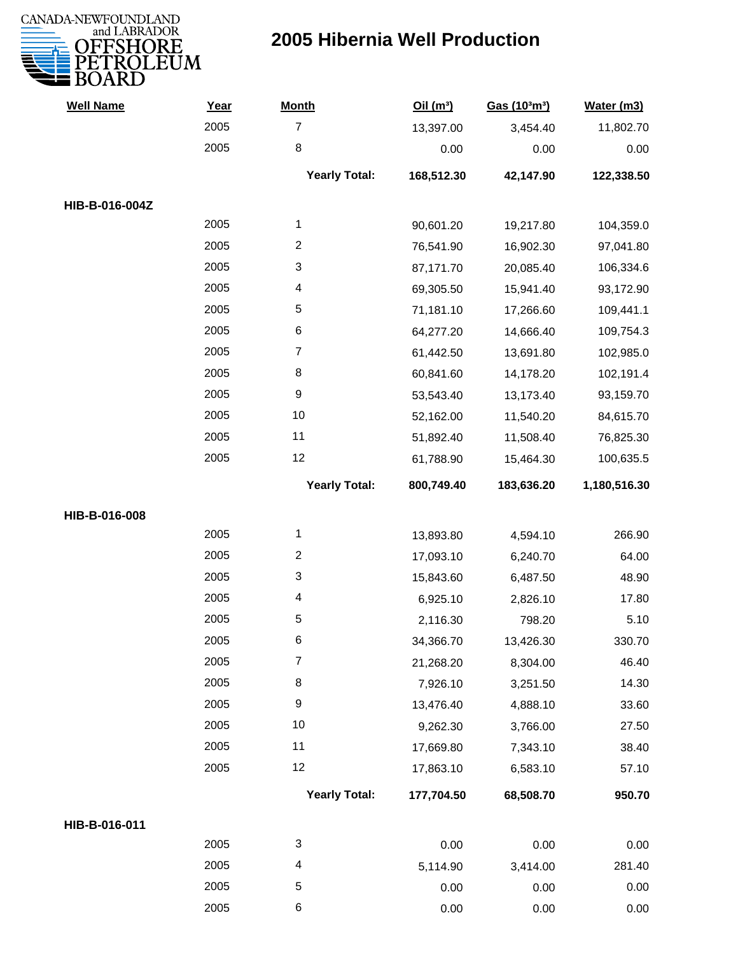

| <b>Well Name</b> | Year | <b>Month</b>         | Oil(m <sup>3</sup> ) | Gas (103m3) | Water (m3)   |
|------------------|------|----------------------|----------------------|-------------|--------------|
|                  | 2005 | $\overline{7}$       | 13,397.00            | 3,454.40    | 11,802.70    |
|                  | 2005 | 8                    | 0.00                 | 0.00        | 0.00         |
|                  |      | <b>Yearly Total:</b> | 168,512.30           | 42,147.90   | 122,338.50   |
| HIB-B-016-004Z   |      |                      |                      |             |              |
|                  | 2005 | $\mathbf{1}$         | 90,601.20            | 19,217.80   | 104,359.0    |
|                  | 2005 | $\overline{2}$       | 76,541.90            | 16,902.30   | 97,041.80    |
|                  | 2005 | 3                    | 87,171.70            | 20,085.40   | 106,334.6    |
|                  | 2005 | 4                    | 69,305.50            | 15,941.40   | 93,172.90    |
|                  | 2005 | 5                    | 71,181.10            | 17,266.60   | 109,441.1    |
|                  | 2005 | 6                    | 64,277.20            | 14,666.40   | 109,754.3    |
|                  | 2005 | 7                    | 61,442.50            | 13,691.80   | 102,985.0    |
|                  | 2005 | 8                    | 60,841.60            | 14,178.20   | 102,191.4    |
|                  | 2005 | 9                    | 53,543.40            | 13,173.40   | 93,159.70    |
|                  | 2005 | 10                   | 52,162.00            | 11,540.20   | 84,615.70    |
|                  | 2005 | 11                   | 51,892.40            | 11,508.40   | 76,825.30    |
|                  | 2005 | 12                   | 61,788.90            | 15,464.30   | 100,635.5    |
|                  |      | <b>Yearly Total:</b> | 800,749.40           | 183,636.20  | 1,180,516.30 |
| HIB-B-016-008    |      |                      |                      |             |              |
|                  | 2005 | 1                    | 13,893.80            | 4,594.10    | 266.90       |
|                  | 2005 | $\overline{c}$       | 17,093.10            | 6,240.70    | 64.00        |
|                  | 2005 | 3                    | 15,843.60            | 6,487.50    | 48.90        |
|                  | 2005 | 4                    | 6,925.10             | 2,826.10    | 17.80        |
|                  | 2005 | 5                    | 2,116.30             | 798.20      | 5.10         |
|                  | 2005 | 6                    | 34,366.70            | 13,426.30   | 330.70       |
|                  | 2005 | $\overline{7}$       | 21,268.20            | 8,304.00    | 46.40        |
|                  | 2005 | 8                    | 7,926.10             | 3,251.50    | 14.30        |
|                  | 2005 | $\boldsymbol{9}$     | 13,476.40            | 4,888.10    | 33.60        |
|                  | 2005 | 10                   | 9,262.30             | 3,766.00    | 27.50        |
|                  | 2005 | 11                   | 17,669.80            | 7,343.10    | 38.40        |
|                  | 2005 | 12                   | 17,863.10            | 6,583.10    | 57.10        |
|                  |      | <b>Yearly Total:</b> | 177,704.50           | 68,508.70   | 950.70       |
| HIB-B-016-011    |      |                      |                      |             |              |
|                  | 2005 | 3                    | 0.00                 | 0.00        | 0.00         |
|                  | 2005 | 4                    | 5,114.90             | 3,414.00    | 281.40       |
|                  | 2005 | 5                    | 0.00                 | 0.00        | 0.00         |
|                  | 2005 | 6                    | 0.00                 | 0.00        | 0.00         |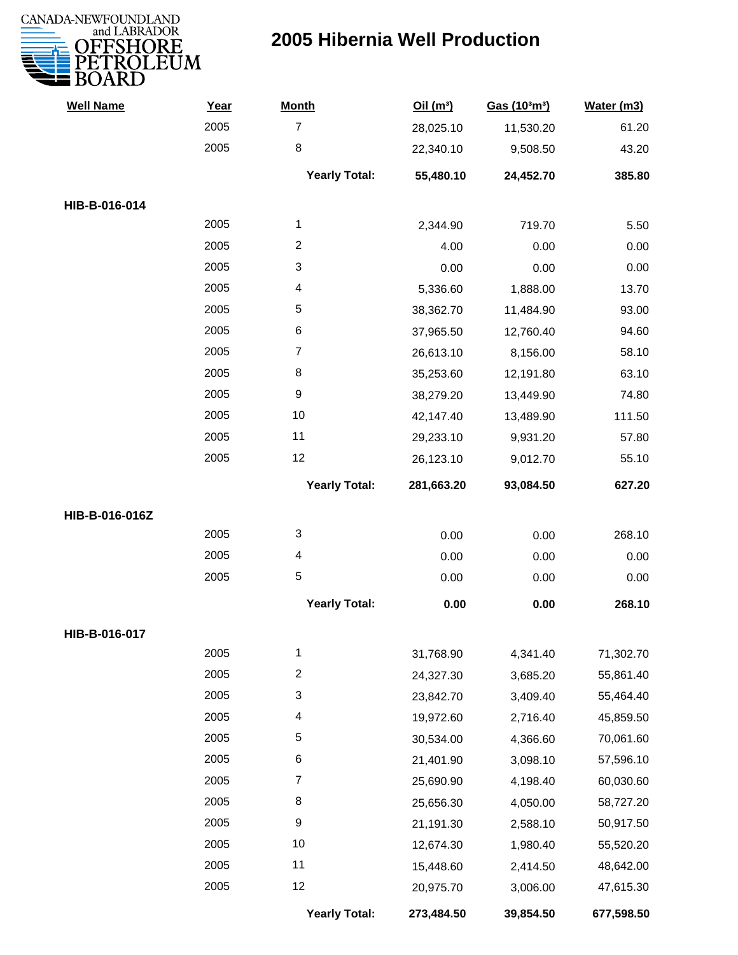

| <b>Well Name</b> | Year | <b>Month</b>         | Oil(m <sup>3</sup> ) | Gas (103m <sup>3</sup> ) | Water (m3) |
|------------------|------|----------------------|----------------------|--------------------------|------------|
|                  | 2005 | $\overline{7}$       | 28,025.10            | 11,530.20                | 61.20      |
|                  | 2005 | 8                    | 22,340.10            | 9,508.50                 | 43.20      |
|                  |      | <b>Yearly Total:</b> | 55,480.10            | 24,452.70                | 385.80     |
| HIB-B-016-014    |      |                      |                      |                          |            |
|                  | 2005 | 1                    | 2,344.90             | 719.70                   | 5.50       |
|                  | 2005 | $\overline{c}$       | 4.00                 | 0.00                     | 0.00       |
|                  | 2005 | 3                    | 0.00                 | 0.00                     | 0.00       |
|                  | 2005 | 4                    | 5,336.60             | 1,888.00                 | 13.70      |
|                  | 2005 | 5                    | 38,362.70            | 11,484.90                | 93.00      |
|                  | 2005 | 6                    | 37,965.50            | 12,760.40                | 94.60      |
|                  | 2005 | 7                    | 26,613.10            | 8,156.00                 | 58.10      |
|                  | 2005 | 8                    | 35,253.60            | 12,191.80                | 63.10      |
|                  | 2005 | 9                    | 38,279.20            | 13,449.90                | 74.80      |
|                  | 2005 | 10                   | 42,147.40            | 13,489.90                | 111.50     |
|                  | 2005 | 11                   | 29,233.10            | 9,931.20                 | 57.80      |
|                  | 2005 | 12                   | 26,123.10            | 9,012.70                 | 55.10      |
|                  |      | <b>Yearly Total:</b> | 281,663.20           | 93,084.50                | 627.20     |
| HIB-B-016-016Z   |      |                      |                      |                          |            |
|                  | 2005 | 3                    | 0.00                 | 0.00                     | 268.10     |
|                  | 2005 | 4                    | 0.00                 | 0.00                     | 0.00       |
|                  | 2005 | 5                    | 0.00                 | 0.00                     | 0.00       |
|                  |      | <b>Yearly Total:</b> | 0.00                 | 0.00                     | 268.10     |
| HIB-B-016-017    |      |                      |                      |                          |            |
|                  | 2005 | 1                    | 31,768.90            | 4,341.40                 | 71,302.70  |
|                  | 2005 | $\overline{c}$       | 24,327.30            | 3,685.20                 | 55,861.40  |
|                  | 2005 | 3                    | 23,842.70            | 3,409.40                 | 55,464.40  |
|                  | 2005 | 4                    | 19,972.60            | 2,716.40                 | 45,859.50  |
|                  | 2005 | 5                    | 30,534.00            | 4,366.60                 | 70,061.60  |
|                  | 2005 | 6                    | 21,401.90            | 3,098.10                 | 57,596.10  |
|                  | 2005 | 7                    | 25,690.90            | 4,198.40                 | 60,030.60  |
|                  | 2005 | 8                    | 25,656.30            | 4,050.00                 | 58,727.20  |
|                  | 2005 | 9                    | 21,191.30            | 2,588.10                 | 50,917.50  |
|                  | 2005 | 10                   | 12,674.30            | 1,980.40                 | 55,520.20  |
|                  | 2005 | 11                   | 15,448.60            | 2,414.50                 | 48,642.00  |
|                  | 2005 | 12                   | 20,975.70            | 3,006.00                 | 47,615.30  |
|                  |      | <b>Yearly Total:</b> | 273,484.50           | 39,854.50                | 677,598.50 |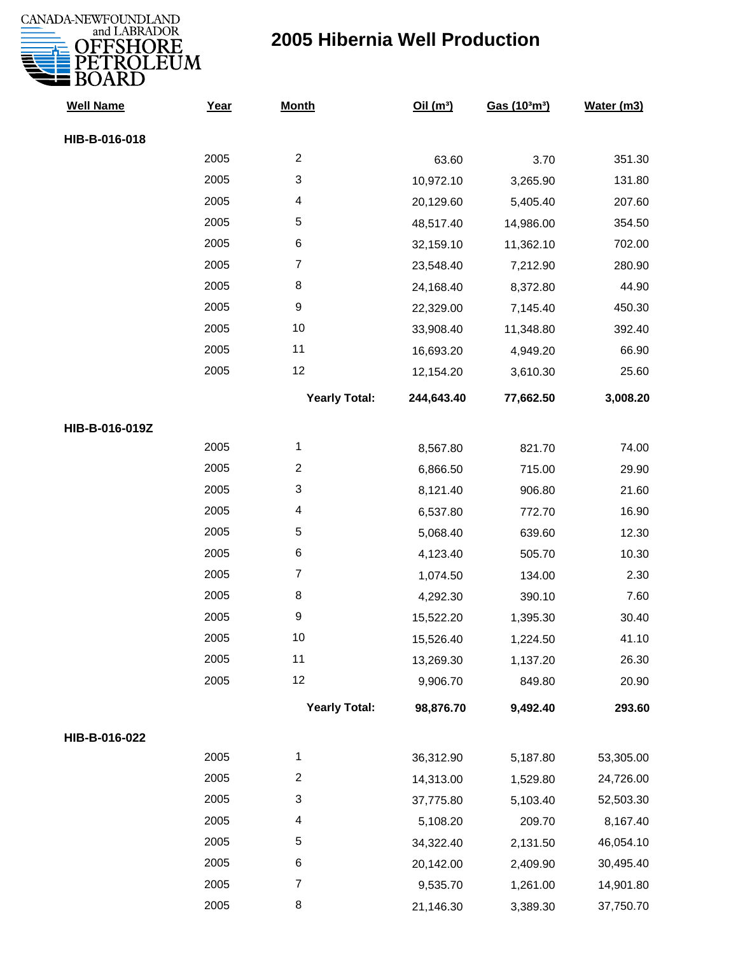

| <b>Well Name</b> | Year | <b>Month</b>         | Oil(m <sup>3</sup> ) | Gas (103m3) | Water (m3) |
|------------------|------|----------------------|----------------------|-------------|------------|
| HIB-B-016-018    |      |                      |                      |             |            |
|                  | 2005 | $\overline{2}$       | 63.60                | 3.70        | 351.30     |
|                  | 2005 | 3                    | 10,972.10            | 3,265.90    | 131.80     |
|                  | 2005 | 4                    | 20,129.60            | 5,405.40    | 207.60     |
|                  | 2005 | 5                    | 48,517.40            | 14,986.00   | 354.50     |
|                  | 2005 | 6                    | 32,159.10            | 11,362.10   | 702.00     |
|                  | 2005 | $\overline{7}$       | 23,548.40            | 7,212.90    | 280.90     |
|                  | 2005 | 8                    | 24,168.40            | 8,372.80    | 44.90      |
|                  | 2005 | 9                    | 22,329.00            | 7,145.40    | 450.30     |
|                  | 2005 | 10                   | 33,908.40            | 11,348.80   | 392.40     |
|                  | 2005 | 11                   | 16,693.20            | 4,949.20    | 66.90      |
|                  | 2005 | 12                   | 12,154.20            | 3,610.30    | 25.60      |
|                  |      | <b>Yearly Total:</b> | 244,643.40           | 77,662.50   | 3,008.20   |
| HIB-B-016-019Z   |      |                      |                      |             |            |
|                  | 2005 | 1                    | 8,567.80             | 821.70      | 74.00      |
|                  | 2005 | $\overline{c}$       | 6,866.50             | 715.00      | 29.90      |
|                  | 2005 | 3                    | 8,121.40             | 906.80      | 21.60      |
|                  | 2005 | 4                    | 6,537.80             | 772.70      | 16.90      |
|                  | 2005 | 5                    | 5,068.40             | 639.60      | 12.30      |
|                  | 2005 | 6                    | 4,123.40             | 505.70      | 10.30      |
|                  | 2005 | $\overline{7}$       | 1,074.50             | 134.00      | 2.30       |
|                  | 2005 | 8                    | 4,292.30             | 390.10      | 7.60       |
|                  | 2005 | 9                    | 15,522.20            | 1,395.30    | 30.40      |
|                  | 2005 | 10                   | 15,526.40            | 1,224.50    | 41.10      |
|                  | 2005 | 11                   | 13,269.30            | 1,137.20    | 26.30      |
|                  | 2005 | 12                   | 9,906.70             | 849.80      | 20.90      |
|                  |      | <b>Yearly Total:</b> | 98,876.70            | 9,492.40    | 293.60     |
| HIB-B-016-022    |      |                      |                      |             |            |
|                  | 2005 | $\mathbf{1}$         | 36,312.90            | 5,187.80    | 53,305.00  |
|                  | 2005 | $\overline{c}$       | 14,313.00            | 1,529.80    | 24,726.00  |
|                  | 2005 | 3                    | 37,775.80            | 5,103.40    | 52,503.30  |
|                  | 2005 | 4                    | 5,108.20             | 209.70      | 8,167.40   |
|                  | 2005 | 5                    | 34,322.40            | 2,131.50    | 46,054.10  |
|                  | 2005 | 6                    | 20,142.00            | 2,409.90    | 30,495.40  |
|                  | 2005 | $\overline{7}$       | 9,535.70             | 1,261.00    | 14,901.80  |
|                  | 2005 | 8                    | 21,146.30            | 3,389.30    | 37,750.70  |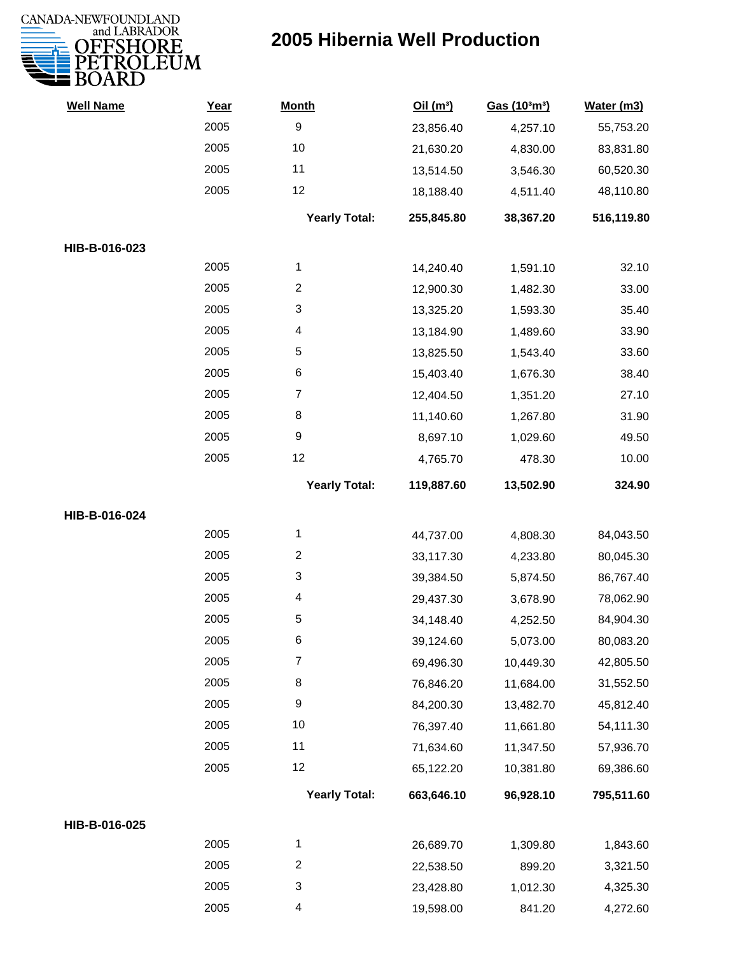

| <b>Well Name</b> | Year | <b>Month</b>         | Oil(m <sup>3</sup> ) | Gas (103m3) | Water (m3) |
|------------------|------|----------------------|----------------------|-------------|------------|
|                  | 2005 | $\boldsymbol{9}$     | 23,856.40            | 4,257.10    | 55,753.20  |
|                  | 2005 | 10                   | 21,630.20            | 4,830.00    | 83,831.80  |
|                  | 2005 | 11                   | 13,514.50            | 3,546.30    | 60,520.30  |
|                  | 2005 | 12                   | 18,188.40            | 4,511.40    | 48,110.80  |
|                  |      | <b>Yearly Total:</b> | 255,845.80           | 38,367.20   | 516,119.80 |
| HIB-B-016-023    |      |                      |                      |             |            |
|                  | 2005 | 1                    | 14,240.40            | 1,591.10    | 32.10      |
|                  | 2005 | $\overline{c}$       | 12,900.30            | 1,482.30    | 33.00      |
|                  | 2005 | 3                    | 13,325.20            | 1,593.30    | 35.40      |
|                  | 2005 | 4                    | 13,184.90            | 1,489.60    | 33.90      |
|                  | 2005 | 5                    | 13,825.50            | 1,543.40    | 33.60      |
|                  | 2005 | 6                    | 15,403.40            | 1,676.30    | 38.40      |
|                  | 2005 | $\overline{7}$       | 12,404.50            | 1,351.20    | 27.10      |
|                  | 2005 | 8                    | 11,140.60            | 1,267.80    | 31.90      |
|                  | 2005 | $\boldsymbol{9}$     | 8,697.10             | 1,029.60    | 49.50      |
|                  | 2005 | 12                   | 4,765.70             | 478.30      | 10.00      |
|                  |      | <b>Yearly Total:</b> | 119,887.60           | 13,502.90   | 324.90     |
| HIB-B-016-024    |      |                      |                      |             |            |
|                  | 2005 | 1                    | 44,737.00            | 4,808.30    | 84,043.50  |
|                  | 2005 | $\overline{c}$       | 33,117.30            | 4,233.80    | 80,045.30  |
|                  | 2005 | 3                    | 39,384.50            | 5,874.50    | 86,767.40  |
|                  | 2005 | 4                    | 29,437.30            | 3,678.90    | 78,062.90  |
|                  | 2005 | 5                    | 34,148.40            | 4,252.50    | 84,904.30  |
|                  | 2005 | 6                    | 39,124.60            | 5,073.00    | 80,083.20  |
|                  | 2005 | $\overline{7}$       | 69,496.30            | 10,449.30   | 42,805.50  |
|                  | 2005 | 8                    | 76,846.20            | 11,684.00   | 31,552.50  |
|                  | 2005 | 9                    | 84,200.30            | 13,482.70   | 45,812.40  |
|                  | 2005 | 10                   | 76,397.40            | 11,661.80   | 54,111.30  |
|                  | 2005 | 11                   | 71,634.60            | 11,347.50   | 57,936.70  |
|                  | 2005 | 12                   | 65,122.20            | 10,381.80   | 69,386.60  |
|                  |      | <b>Yearly Total:</b> | 663,646.10           | 96,928.10   | 795,511.60 |
| HIB-B-016-025    |      |                      |                      |             |            |
|                  | 2005 | 1                    | 26,689.70            | 1,309.80    | 1,843.60   |
|                  | 2005 | $\overline{c}$       | 22,538.50            | 899.20      | 3,321.50   |
|                  | 2005 | 3                    | 23,428.80            | 1,012.30    | 4,325.30   |
|                  | 2005 | 4                    | 19,598.00            | 841.20      | 4,272.60   |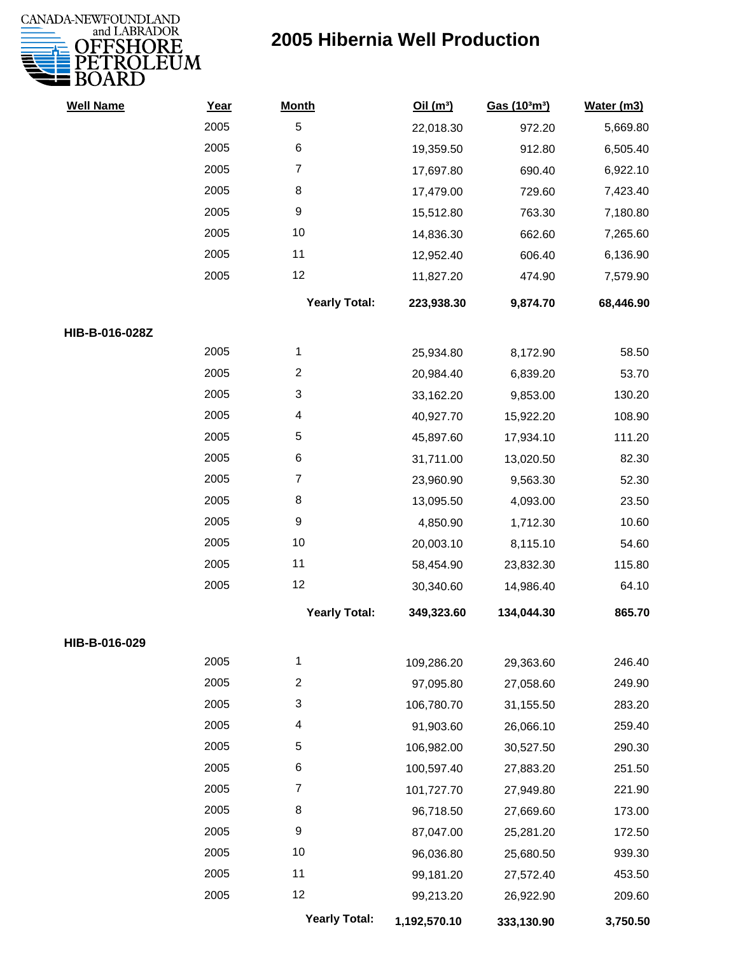

| <b>Well Name</b> | Year | <b>Month</b>         | Oil(m <sup>3</sup> ) | Gas (103m3) | Water (m3) |
|------------------|------|----------------------|----------------------|-------------|------------|
|                  | 2005 | 5                    | 22,018.30            | 972.20      | 5,669.80   |
|                  | 2005 | 6                    | 19,359.50            | 912.80      | 6,505.40   |
|                  | 2005 | $\overline{7}$       | 17,697.80            | 690.40      | 6,922.10   |
|                  | 2005 | 8                    | 17,479.00            | 729.60      | 7,423.40   |
|                  | 2005 | 9                    | 15,512.80            | 763.30      | 7,180.80   |
|                  | 2005 | 10                   | 14,836.30            | 662.60      | 7,265.60   |
|                  | 2005 | 11                   | 12,952.40            | 606.40      | 6,136.90   |
|                  | 2005 | 12                   | 11,827.20            | 474.90      | 7,579.90   |
|                  |      | <b>Yearly Total:</b> | 223,938.30           | 9,874.70    | 68,446.90  |
| HIB-B-016-028Z   |      |                      |                      |             |            |
|                  | 2005 | 1                    | 25,934.80            | 8,172.90    | 58.50      |
|                  | 2005 | $\overline{c}$       | 20,984.40            | 6,839.20    | 53.70      |
|                  | 2005 | 3                    | 33,162.20            | 9,853.00    | 130.20     |
|                  | 2005 | 4                    | 40,927.70            | 15,922.20   | 108.90     |
|                  | 2005 | 5                    | 45,897.60            | 17,934.10   | 111.20     |
|                  | 2005 | 6                    | 31,711.00            | 13,020.50   | 82.30      |
|                  | 2005 | $\overline{7}$       | 23,960.90            | 9,563.30    | 52.30      |
|                  | 2005 | 8                    | 13,095.50            | 4,093.00    | 23.50      |
|                  | 2005 | 9                    | 4,850.90             | 1,712.30    | 10.60      |
|                  | 2005 | 10                   | 20,003.10            | 8,115.10    | 54.60      |
|                  | 2005 | 11                   | 58,454.90            | 23,832.30   | 115.80     |
|                  | 2005 | 12                   | 30,340.60            | 14,986.40   | 64.10      |
|                  |      | <b>Yearly Total:</b> | 349,323.60           | 134,044.30  | 865.70     |
| HIB-B-016-029    |      |                      |                      |             |            |
|                  | 2005 | 1                    | 109,286.20           | 29,363.60   | 246.40     |
|                  | 2005 | $\overline{c}$       | 97,095.80            | 27,058.60   | 249.90     |
|                  | 2005 | 3                    | 106,780.70           | 31,155.50   | 283.20     |
|                  | 2005 | 4                    | 91,903.60            | 26,066.10   | 259.40     |
|                  | 2005 | 5                    | 106,982.00           | 30,527.50   | 290.30     |
|                  | 2005 | 6                    | 100,597.40           | 27,883.20   | 251.50     |
|                  | 2005 | 7                    | 101,727.70           | 27,949.80   | 221.90     |
|                  | 2005 | 8                    | 96,718.50            | 27,669.60   | 173.00     |
|                  | 2005 | 9                    | 87,047.00            | 25,281.20   | 172.50     |
|                  | 2005 | 10                   | 96,036.80            | 25,680.50   | 939.30     |
|                  | 2005 | 11                   | 99,181.20            | 27,572.40   | 453.50     |
|                  | 2005 | 12                   | 99,213.20            | 26,922.90   | 209.60     |
|                  |      | <b>Yearly Total:</b> | 1,192,570.10         | 333,130.90  | 3,750.50   |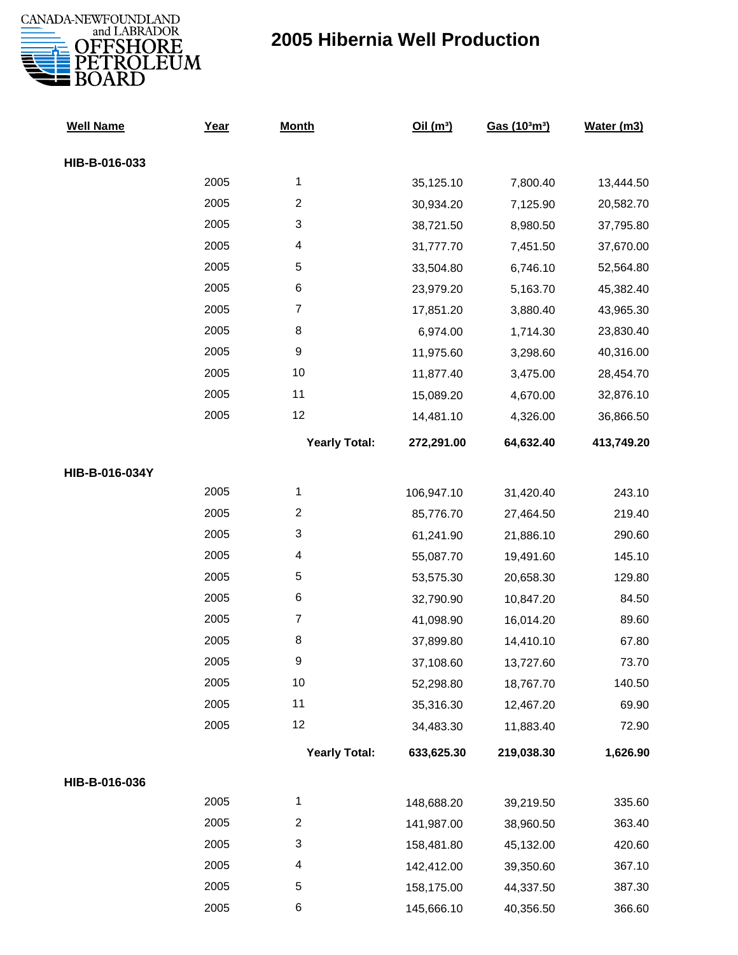

| <b>Well Name</b> | Year | <b>Month</b>         | Oil(m <sup>3</sup> ) | Gas (103m3) | Water (m3) |
|------------------|------|----------------------|----------------------|-------------|------------|
| HIB-B-016-033    |      |                      |                      |             |            |
|                  | 2005 | 1                    | 35,125.10            | 7,800.40    | 13,444.50  |
|                  | 2005 | $\overline{c}$       | 30,934.20            | 7,125.90    | 20,582.70  |
|                  | 2005 | 3                    | 38,721.50            | 8,980.50    | 37,795.80  |
|                  | 2005 | 4                    | 31,777.70            | 7,451.50    | 37,670.00  |
|                  | 2005 | 5                    | 33,504.80            | 6,746.10    | 52,564.80  |
|                  | 2005 | 6                    | 23,979.20            | 5,163.70    | 45,382.40  |
|                  | 2005 | $\overline{7}$       | 17,851.20            | 3,880.40    | 43,965.30  |
|                  | 2005 | 8                    | 6,974.00             | 1,714.30    | 23,830.40  |
|                  | 2005 | 9                    | 11,975.60            | 3,298.60    | 40,316.00  |
|                  | 2005 | 10                   | 11,877.40            | 3,475.00    | 28,454.70  |
|                  | 2005 | 11                   | 15,089.20            | 4,670.00    | 32,876.10  |
|                  | 2005 | 12                   | 14,481.10            | 4,326.00    | 36,866.50  |
|                  |      | <b>Yearly Total:</b> | 272,291.00           | 64,632.40   | 413,749.20 |
| HIB-B-016-034Y   |      |                      |                      |             |            |
|                  | 2005 | 1                    | 106,947.10           | 31,420.40   | 243.10     |
|                  | 2005 | $\overline{2}$       | 85,776.70            | 27,464.50   | 219.40     |
|                  | 2005 | 3                    | 61,241.90            | 21,886.10   | 290.60     |
|                  | 2005 | 4                    | 55,087.70            | 19,491.60   | 145.10     |
|                  | 2005 | 5                    | 53,575.30            | 20,658.30   | 129.80     |
|                  | 2005 | 6                    | 32,790.90            | 10,847.20   | 84.50      |
|                  | 2005 | $\overline{7}$       | 41,098.90            | 16,014.20   | 89.60      |
|                  | 2005 | 8                    | 37,899.80            | 14,410.10   | 67.80      |
|                  | 2005 | 9                    | 37,108.60            | 13,727.60   | 73.70      |
|                  | 2005 | 10                   | 52,298.80            | 18,767.70   | 140.50     |
|                  | 2005 | 11                   | 35,316.30            | 12,467.20   | 69.90      |
|                  | 2005 | 12                   | 34,483.30            | 11,883.40   | 72.90      |
|                  |      | <b>Yearly Total:</b> | 633,625.30           | 219,038.30  | 1,626.90   |
| HIB-B-016-036    |      |                      |                      |             |            |
|                  | 2005 | 1                    | 148,688.20           | 39,219.50   | 335.60     |
|                  | 2005 | $\overline{2}$       | 141,987.00           | 38,960.50   | 363.40     |
|                  | 2005 | 3                    | 158,481.80           | 45,132.00   | 420.60     |
|                  | 2005 | 4                    | 142,412.00           | 39,350.60   | 367.10     |
|                  | 2005 | 5                    | 158,175.00           | 44,337.50   | 387.30     |
|                  | 2005 | 6                    | 145,666.10           | 40,356.50   | 366.60     |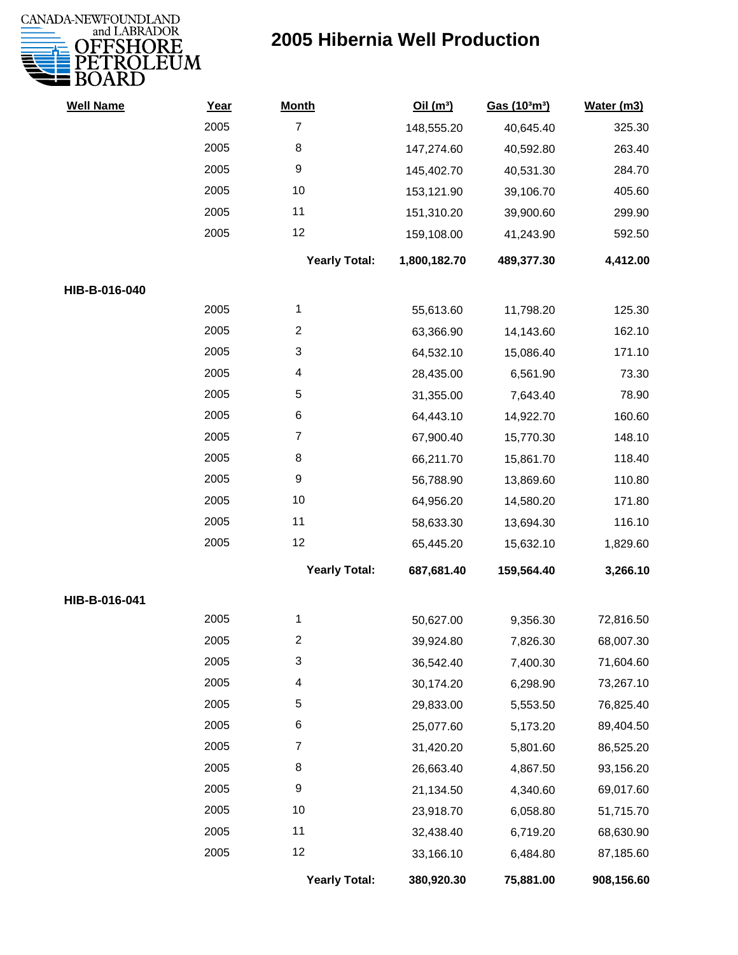

| <b>Well Name</b> | Year | <b>Month</b>         | Oil(m <sup>3</sup> ) | Gas (103m3) | Water (m3) |
|------------------|------|----------------------|----------------------|-------------|------------|
|                  | 2005 | $\overline{7}$       | 148,555.20           | 40,645.40   | 325.30     |
|                  | 2005 | 8                    | 147,274.60           | 40,592.80   | 263.40     |
|                  | 2005 | 9                    | 145,402.70           | 40,531.30   | 284.70     |
|                  | 2005 | 10                   | 153,121.90           | 39,106.70   | 405.60     |
|                  | 2005 | 11                   | 151,310.20           | 39,900.60   | 299.90     |
|                  | 2005 | 12                   | 159,108.00           | 41,243.90   | 592.50     |
|                  |      | <b>Yearly Total:</b> | 1,800,182.70         | 489,377.30  | 4,412.00   |
| HIB-B-016-040    |      |                      |                      |             |            |
|                  | 2005 | $\mathbf 1$          | 55,613.60            | 11,798.20   | 125.30     |
|                  | 2005 | $\overline{2}$       | 63,366.90            | 14,143.60   | 162.10     |
|                  | 2005 | 3                    | 64,532.10            | 15,086.40   | 171.10     |
|                  | 2005 | 4                    | 28,435.00            | 6,561.90    | 73.30      |
|                  | 2005 | 5                    | 31,355.00            | 7,643.40    | 78.90      |
|                  | 2005 | $\,6$                | 64,443.10            | 14,922.70   | 160.60     |
|                  | 2005 | 7                    | 67,900.40            | 15,770.30   | 148.10     |
|                  | 2005 | 8                    | 66,211.70            | 15,861.70   | 118.40     |
|                  | 2005 | 9                    | 56,788.90            | 13,869.60   | 110.80     |
|                  | 2005 | 10                   | 64,956.20            | 14,580.20   | 171.80     |
|                  | 2005 | 11                   | 58,633.30            | 13,694.30   | 116.10     |
|                  | 2005 | 12                   | 65,445.20            | 15,632.10   | 1,829.60   |
|                  |      | <b>Yearly Total:</b> | 687,681.40           | 159,564.40  | 3,266.10   |
| HIB-B-016-041    |      |                      |                      |             |            |
|                  | 2005 | 1                    | 50,627.00            | 9,356.30    | 72,816.50  |
|                  | 2005 | 2                    | 39,924.80            | 7,826.30    | 68,007.30  |
|                  | 2005 | 3                    | 36,542.40            | 7,400.30    | 71,604.60  |
|                  | 2005 | 4                    | 30,174.20            | 6,298.90    | 73,267.10  |
|                  | 2005 | 5                    | 29,833.00            | 5,553.50    | 76,825.40  |
|                  | 2005 | 6                    | 25,077.60            | 5,173.20    | 89,404.50  |
|                  | 2005 | $\overline{7}$       | 31,420.20            | 5,801.60    | 86,525.20  |
|                  | 2005 | 8                    | 26,663.40            | 4,867.50    | 93,156.20  |
|                  | 2005 | 9                    | 21,134.50            | 4,340.60    | 69,017.60  |
|                  | 2005 | 10                   | 23,918.70            | 6,058.80    | 51,715.70  |
|                  | 2005 | 11                   | 32,438.40            | 6,719.20    | 68,630.90  |
|                  | 2005 | 12                   | 33,166.10            | 6,484.80    | 87,185.60  |
|                  |      | <b>Yearly Total:</b> | 380,920.30           | 75,881.00   | 908,156.60 |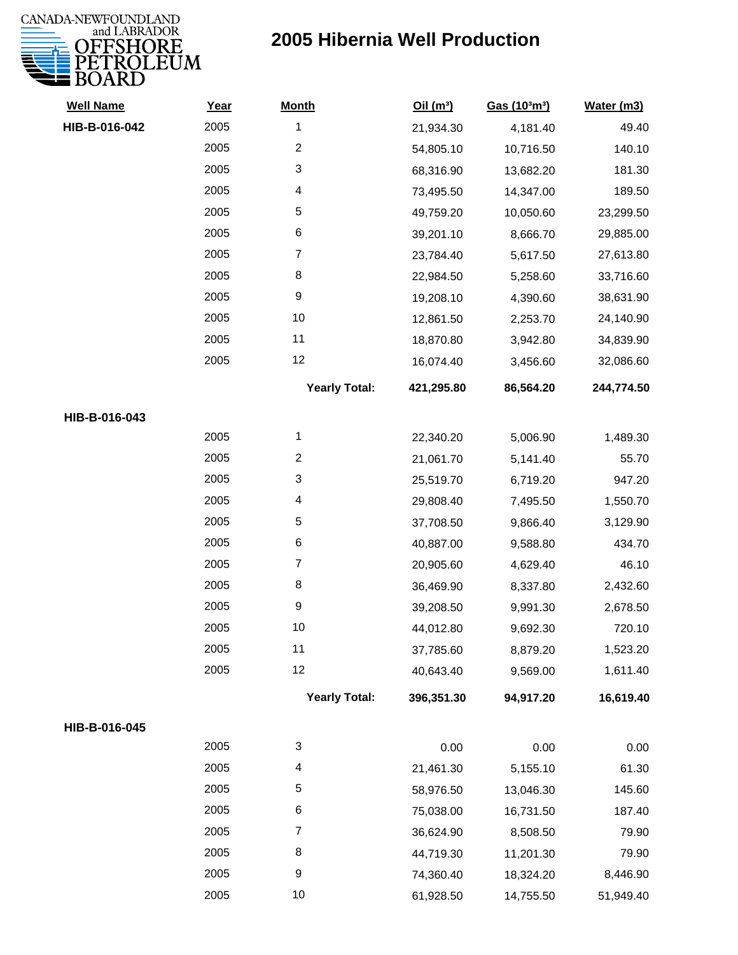

| <b>Well Name</b> | Year | <b>Month</b>         | Oil(m <sup>3</sup> ) | Gas (103m3) | Water (m3) |
|------------------|------|----------------------|----------------------|-------------|------------|
| HIB-B-016-042    | 2005 | 1                    | 21,934.30            | 4,181.40    | 49.40      |
|                  | 2005 | $\overline{2}$       | 54,805.10            | 10,716.50   | 140.10     |
|                  | 2005 | 3                    | 68,316.90            | 13,682.20   | 181.30     |
|                  | 2005 | 4                    | 73,495.50            | 14,347.00   | 189.50     |
|                  | 2005 | 5                    | 49,759.20            | 10,050.60   | 23,299.50  |
|                  | 2005 | 6                    | 39,201.10            | 8,666.70    | 29,885.00  |
|                  | 2005 | $\overline{7}$       | 23,784.40            | 5,617.50    | 27,613.80  |
|                  | 2005 | 8                    | 22,984.50            | 5,258.60    | 33,716.60  |
|                  | 2005 | $\boldsymbol{9}$     | 19,208.10            | 4,390.60    | 38,631.90  |
|                  | 2005 | 10                   | 12,861.50            | 2,253.70    | 24,140.90  |
|                  | 2005 | 11                   | 18,870.80            | 3,942.80    | 34,839.90  |
|                  | 2005 | 12                   | 16,074.40            | 3,456.60    | 32,086.60  |
|                  |      | <b>Yearly Total:</b> | 421,295.80           | 86,564.20   | 244,774.50 |
| HIB-B-016-043    |      |                      |                      |             |            |
|                  | 2005 | 1                    | 22,340.20            | 5,006.90    | 1,489.30   |
|                  | 2005 | $\overline{c}$       | 21,061.70            | 5,141.40    | 55.70      |
|                  | 2005 | 3                    | 25,519.70            | 6,719.20    | 947.20     |
|                  | 2005 | 4                    | 29,808.40            | 7,495.50    | 1,550.70   |
|                  | 2005 | 5                    | 37,708.50            | 9,866.40    | 3,129.90   |
|                  | 2005 | 6                    | 40,887.00            | 9,588.80    | 434.70     |
|                  | 2005 | $\overline{7}$       | 20,905.60            | 4,629.40    | 46.10      |
|                  | 2005 | 8                    | 36,469.90            | 8,337.80    | 2,432.60   |
|                  | 2005 | $\boldsymbol{9}$     | 39,208.50            | 9,991.30    | 2,678.50   |
|                  | 2005 | 10                   | 44,012.80            | 9,692.30    | 720.10     |
|                  | 2005 | 11                   | 37,785.60            | 8,879.20    | 1,523.20   |
|                  | 2005 | 12                   | 40,643.40            | 9,569.00    | 1,611.40   |
|                  |      | <b>Yearly Total:</b> | 396,351.30           | 94,917.20   | 16,619.40  |
| HIB-B-016-045    |      |                      |                      |             |            |
|                  | 2005 | 3                    | 0.00                 | 0.00        | 0.00       |
|                  | 2005 | 4                    | 21,461.30            | 5,155.10    | 61.30      |
|                  | 2005 | 5                    | 58,976.50            | 13,046.30   | 145.60     |
|                  | 2005 | 6                    | 75,038.00            | 16,731.50   | 187.40     |
|                  | 2005 | $\overline{7}$       | 36,624.90            | 8,508.50    | 79.90      |
|                  | 2005 | 8                    | 44,719.30            | 11,201.30   | 79.90      |
|                  | 2005 | $\boldsymbol{9}$     | 74,360.40            | 18,324.20   | 8,446.90   |
|                  | 2005 | $10$                 | 61,928.50            | 14,755.50   | 51,949.40  |
|                  |      |                      |                      |             |            |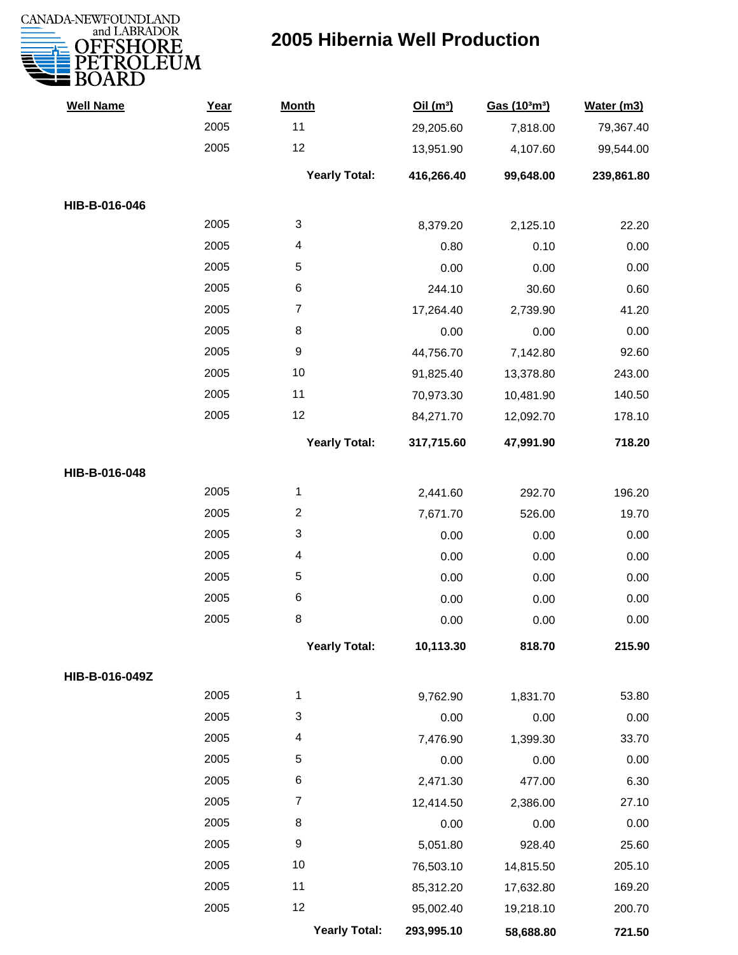

| <b>Well Name</b> | Year | <b>Month</b>            | Oil(m <sup>3</sup> ) | Gas (103m3) | Water (m3) |
|------------------|------|-------------------------|----------------------|-------------|------------|
|                  | 2005 | 11                      | 29,205.60            | 7,818.00    | 79,367.40  |
|                  | 2005 | 12                      | 13,951.90            | 4,107.60    | 99,544.00  |
|                  |      | <b>Yearly Total:</b>    | 416,266.40           | 99,648.00   | 239,861.80 |
| HIB-B-016-046    |      |                         |                      |             |            |
|                  | 2005 | 3                       | 8,379.20             | 2,125.10    | 22.20      |
|                  | 2005 | 4                       | 0.80                 | 0.10        | 0.00       |
|                  | 2005 | 5                       | 0.00                 | 0.00        | 0.00       |
|                  | 2005 | 6                       | 244.10               | 30.60       | 0.60       |
|                  | 2005 | $\overline{7}$          | 17,264.40            | 2,739.90    | 41.20      |
|                  | 2005 | 8                       | 0.00                 | 0.00        | 0.00       |
|                  | 2005 | 9                       | 44,756.70            | 7,142.80    | 92.60      |
|                  | 2005 | 10                      | 91,825.40            | 13,378.80   | 243.00     |
|                  | 2005 | 11                      | 70,973.30            | 10,481.90   | 140.50     |
|                  | 2005 | 12                      | 84,271.70            | 12,092.70   | 178.10     |
|                  |      | <b>Yearly Total:</b>    | 317,715.60           | 47,991.90   | 718.20     |
| HIB-B-016-048    |      |                         |                      |             |            |
|                  | 2005 | 1                       | 2,441.60             | 292.70      | 196.20     |
|                  | 2005 | $\overline{\mathbf{c}}$ | 7,671.70             | 526.00      | 19.70      |
|                  | 2005 | 3                       | 0.00                 | 0.00        | 0.00       |
|                  | 2005 | 4                       | 0.00                 | 0.00        | 0.00       |
|                  | 2005 | 5                       | 0.00                 | 0.00        | 0.00       |
|                  | 2005 | 6                       | 0.00                 | 0.00        | 0.00       |
|                  | 2005 | 8                       | 0.00                 | 0.00        | 0.00       |
|                  |      | <b>Yearly Total:</b>    | 10,113.30            | 818.70      | 215.90     |
| HIB-B-016-049Z   |      |                         |                      |             |            |
|                  | 2005 | 1                       | 9,762.90             | 1,831.70    | 53.80      |
|                  | 2005 | 3                       | 0.00                 | 0.00        | 0.00       |
|                  | 2005 | 4                       | 7,476.90             | 1,399.30    | 33.70      |
|                  | 2005 | 5                       | 0.00                 | 0.00        | 0.00       |
|                  | 2005 | 6                       | 2,471.30             | 477.00      | 6.30       |
|                  | 2005 | $\overline{7}$          | 12,414.50            | 2,386.00    | 27.10      |
|                  | 2005 | 8                       | 0.00                 | 0.00        | 0.00       |
|                  | 2005 | 9                       | 5,051.80             | 928.40      | 25.60      |
|                  | 2005 | 10                      | 76,503.10            | 14,815.50   | 205.10     |
|                  | 2005 | 11                      | 85,312.20            | 17,632.80   | 169.20     |
|                  | 2005 | 12                      | 95,002.40            | 19,218.10   | 200.70     |
|                  |      | <b>Yearly Total:</b>    | 293,995.10           | 58,688.80   | 721.50     |